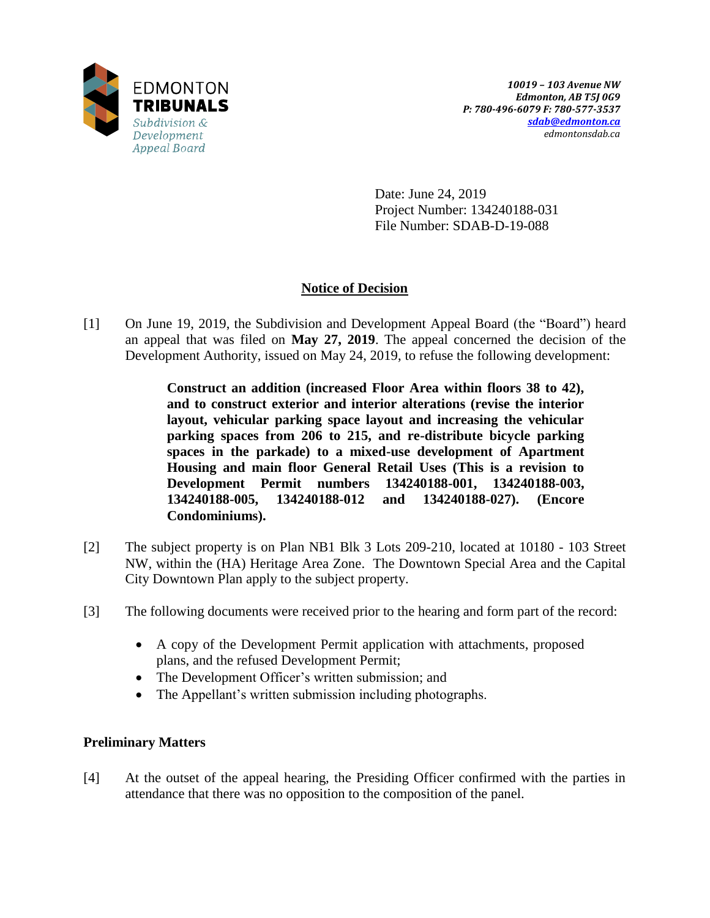

Date: June 24, 2019 Project Number: 134240188-031 File Number: SDAB-D-19-088

# **Notice of Decision**

[1] On June 19, 2019, the Subdivision and Development Appeal Board (the "Board") heard an appeal that was filed on **May 27, 2019**. The appeal concerned the decision of the Development Authority, issued on May 24, 2019, to refuse the following development:

> **Construct an addition (increased Floor Area within floors 38 to 42), and to construct exterior and interior alterations (revise the interior layout, vehicular parking space layout and increasing the vehicular parking spaces from 206 to 215, and re-distribute bicycle parking spaces in the parkade) to a mixed-use development of Apartment Housing and main floor General Retail Uses (This is a revision to Development Permit numbers 134240188-001, 134240188-003, 134240188-005, 134240188-012 and 134240188-027). (Encore Condominiums).**

- [2] The subject property is on Plan NB1 Blk 3 Lots 209-210, located at 10180 103 Street NW, within the (HA) Heritage Area Zone. The Downtown Special Area and the Capital City Downtown Plan apply to the subject property.
- [3] The following documents were received prior to the hearing and form part of the record:
	- A copy of the Development Permit application with attachments, proposed plans, and the refused Development Permit;
	- The Development Officer's written submission; and
	- The Appellant's written submission including photographs.

## **Preliminary Matters**

[4] At the outset of the appeal hearing, the Presiding Officer confirmed with the parties in attendance that there was no opposition to the composition of the panel.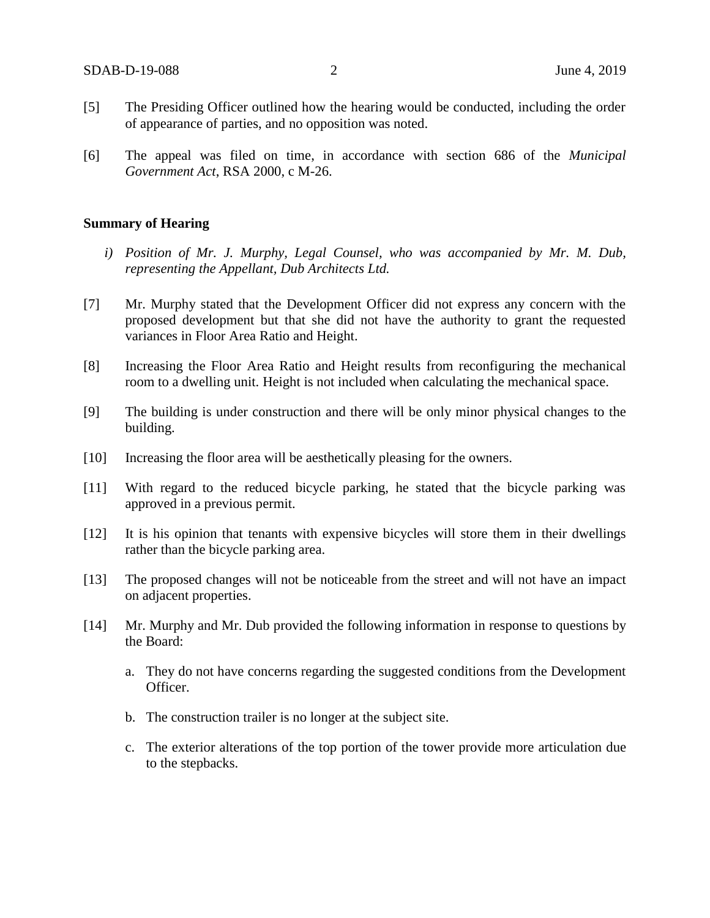- [5] The Presiding Officer outlined how the hearing would be conducted, including the order of appearance of parties, and no opposition was noted.
- [6] The appeal was filed on time, in accordance with section 686 of the *Municipal Government Act*, RSA 2000, c M-26.

### **Summary of Hearing**

- *i) Position of Mr. J. Murphy, Legal Counsel, who was accompanied by Mr. M. Dub, representing the Appellant, Dub Architects Ltd.*
- [7] Mr. Murphy stated that the Development Officer did not express any concern with the proposed development but that she did not have the authority to grant the requested variances in Floor Area Ratio and Height.
- [8] Increasing the Floor Area Ratio and Height results from reconfiguring the mechanical room to a dwelling unit. Height is not included when calculating the mechanical space.
- [9] The building is under construction and there will be only minor physical changes to the building.
- [10] Increasing the floor area will be aesthetically pleasing for the owners.
- [11] With regard to the reduced bicycle parking, he stated that the bicycle parking was approved in a previous permit.
- [12] It is his opinion that tenants with expensive bicycles will store them in their dwellings rather than the bicycle parking area.
- [13] The proposed changes will not be noticeable from the street and will not have an impact on adjacent properties.
- [14] Mr. Murphy and Mr. Dub provided the following information in response to questions by the Board:
	- a. They do not have concerns regarding the suggested conditions from the Development Officer.
	- b. The construction trailer is no longer at the subject site.
	- c. The exterior alterations of the top portion of the tower provide more articulation due to the stepbacks.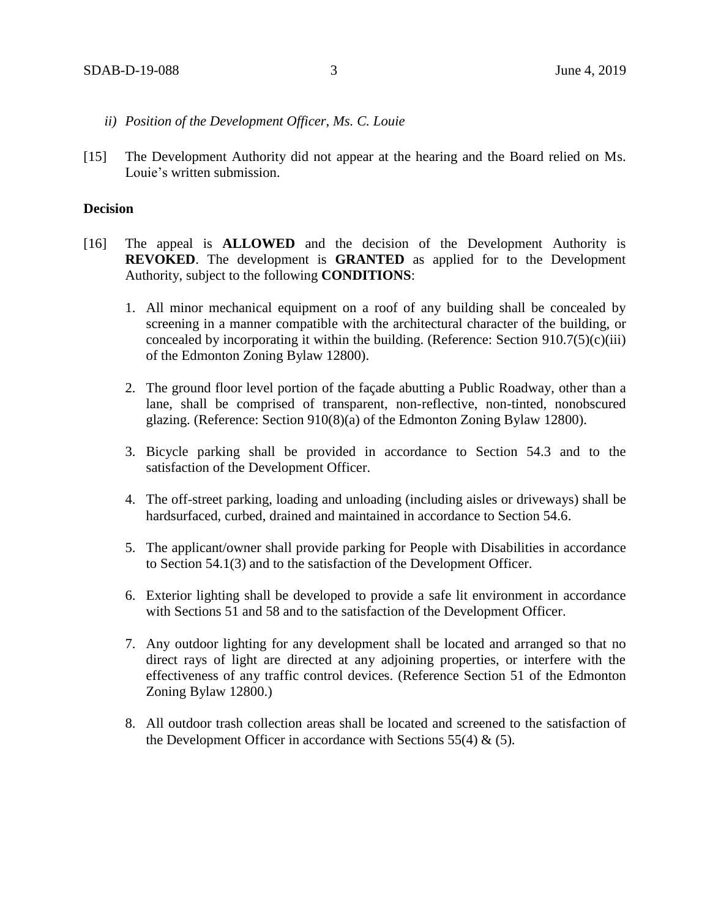- *ii) Position of the Development Officer, Ms. C. Louie*
- [15] The Development Authority did not appear at the hearing and the Board relied on Ms. Louie's written submission.

#### **Decision**

- [16] The appeal is **ALLOWED** and the decision of the Development Authority is **REVOKED**. The development is **GRANTED** as applied for to the Development Authority, subject to the following **CONDITIONS**:
	- 1. All minor mechanical equipment on a roof of any building shall be concealed by screening in a manner compatible with the architectural character of the building, or concealed by incorporating it within the building. (Reference: Section  $910.7(5)(c)(iii)$ ) of the Edmonton Zoning Bylaw 12800).
	- 2. The ground floor level portion of the façade abutting a Public Roadway, other than a lane, shall be comprised of transparent, non-reflective, non-tinted, nonobscured glazing. (Reference: Section 910(8)(a) of the Edmonton Zoning Bylaw 12800).
	- 3. Bicycle parking shall be provided in accordance to Section 54.3 and to the satisfaction of the Development Officer.
	- 4. The off-street parking, loading and unloading (including aisles or driveways) shall be hardsurfaced, curbed, drained and maintained in accordance to Section 54.6.
	- 5. The applicant/owner shall provide parking for People with Disabilities in accordance to Section 54.1(3) and to the satisfaction of the Development Officer.
	- 6. Exterior lighting shall be developed to provide a safe lit environment in accordance with Sections 51 and 58 and to the satisfaction of the Development Officer.
	- 7. Any outdoor lighting for any development shall be located and arranged so that no direct rays of light are directed at any adjoining properties, or interfere with the effectiveness of any traffic control devices. (Reference Section 51 of the Edmonton Zoning Bylaw 12800.)
	- 8. All outdoor trash collection areas shall be located and screened to the satisfaction of the Development Officer in accordance with Sections  $55(4)$  & (5).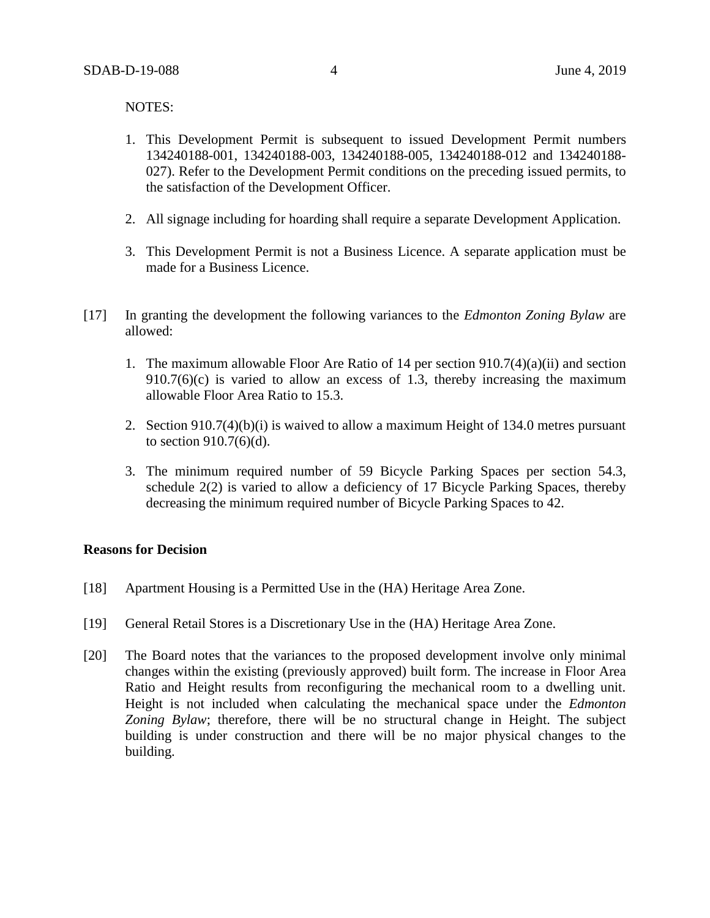NOTES:

- 1. This Development Permit is subsequent to issued Development Permit numbers 134240188-001, 134240188-003, 134240188-005, 134240188-012 and 134240188- 027). Refer to the Development Permit conditions on the preceding issued permits, to the satisfaction of the Development Officer.
- 2. All signage including for hoarding shall require a separate Development Application.
- 3. This Development Permit is not a Business Licence. A separate application must be made for a Business Licence.
- [17] In granting the development the following variances to the *Edmonton Zoning Bylaw* are allowed:
	- 1. The maximum allowable Floor Are Ratio of 14 per section 910.7(4)(a)(ii) and section  $910.7(6)(c)$  is varied to allow an excess of 1.3, thereby increasing the maximum allowable Floor Area Ratio to 15.3.
	- 2. Section 910.7(4)(b)(i) is waived to allow a maximum Height of 134.0 metres pursuant to section 910.7(6)(d).
	- 3. The minimum required number of 59 Bicycle Parking Spaces per section 54.3, schedule 2(2) is varied to allow a deficiency of 17 Bicycle Parking Spaces, thereby decreasing the minimum required number of Bicycle Parking Spaces to 42.

### **Reasons for Decision**

- [18] Apartment Housing is a Permitted Use in the (HA) Heritage Area Zone.
- [19] General Retail Stores is a Discretionary Use in the (HA) Heritage Area Zone.
- [20] The Board notes that the variances to the proposed development involve only minimal changes within the existing (previously approved) built form. The increase in Floor Area Ratio and Height results from reconfiguring the mechanical room to a dwelling unit. Height is not included when calculating the mechanical space under the *Edmonton Zoning Bylaw*; therefore, there will be no structural change in Height. The subject building is under construction and there will be no major physical changes to the building.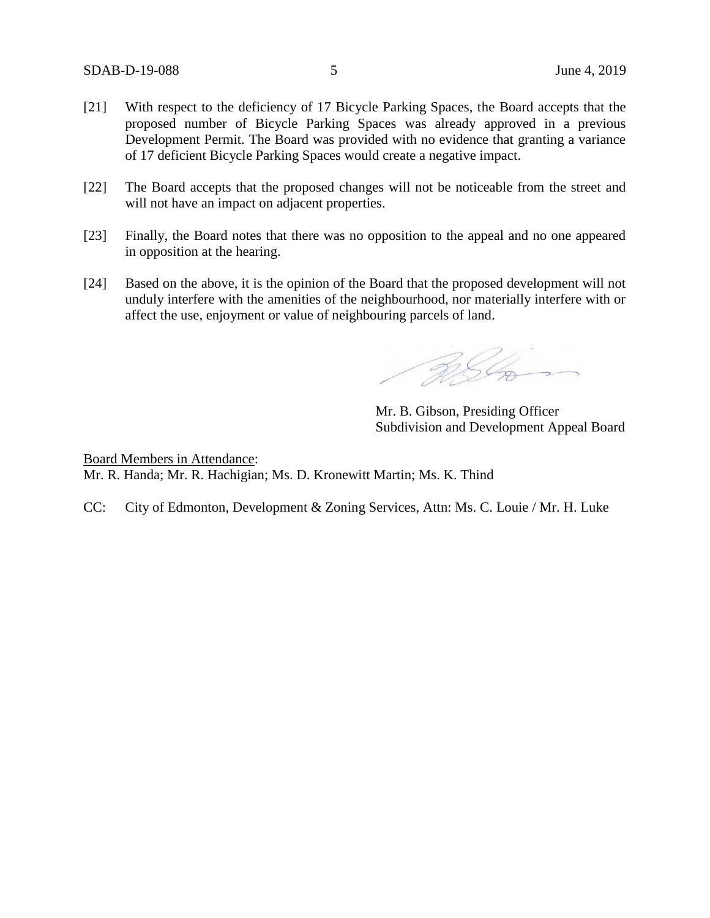- [21] With respect to the deficiency of 17 Bicycle Parking Spaces, the Board accepts that the proposed number of Bicycle Parking Spaces was already approved in a previous Development Permit. The Board was provided with no evidence that granting a variance of 17 deficient Bicycle Parking Spaces would create a negative impact.
- [22] The Board accepts that the proposed changes will not be noticeable from the street and will not have an impact on adjacent properties.
- [23] Finally, the Board notes that there was no opposition to the appeal and no one appeared in opposition at the hearing.
- [24] Based on the above, it is the opinion of the Board that the proposed development will not unduly interfere with the amenities of the neighbourhood, nor materially interfere with or affect the use, enjoyment or value of neighbouring parcels of land.

ASL

Mr. B. Gibson, Presiding Officer Subdivision and Development Appeal Board

Board Members in Attendance: Mr. R. Handa; Mr. R. Hachigian; Ms. D. Kronewitt Martin; Ms. K. Thind

CC: City of Edmonton, Development & Zoning Services, Attn: Ms. C. Louie / Mr. H. Luke